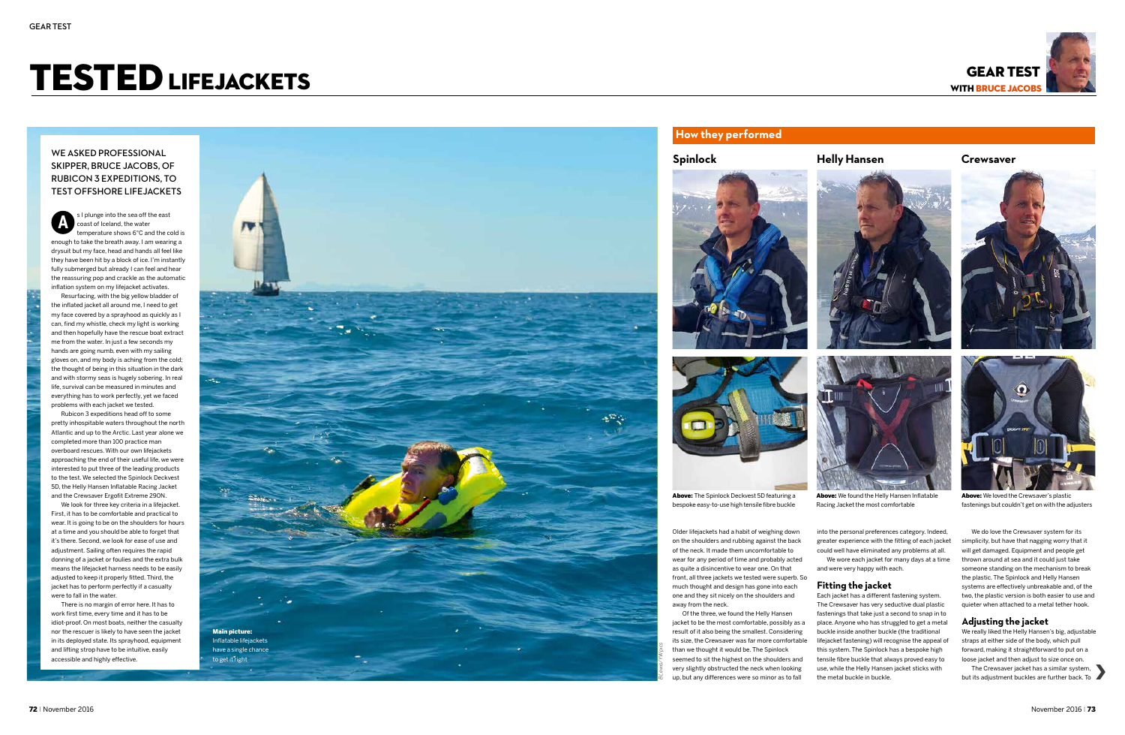# TESTED LIFEJACKETS WITH BRUCE JACOBS



Above: The Spinlock Deckvest 5D featuring a bespoke easy-to-use high tensile fibre buckle



Above: We found the Helly Hansen Inflatable Racing Jacket the most comfortable



Above: We loved the Crewsaver's plastic fastenings but couldn't get on with the adjusters

# WE ASKED PROFESSIONAL skipper, Bruce Jacobs, of Rubicon 3 expeditions, to test offshore lifejackets

Older lifejackets had a habit of weighing down on the shoulders and rubbing against the back of the neck. It made them uncomfortable to wear for any period of time and probably acted as quite a disincentive to wear one. On that front, all three jackets we tested were superb. So much thought and design has gone into each one and they sit nicely on the shoulders and away from the neck.

Of the three, we found the Helly Hansen jacket to be the most comfortable, possibly as a result of it also being the smallest. Considering its size, the Crewsaver was far more comfortable than we thought it would be. The Spinlock seemed to sit the highest on the shoulders and very slightly obstructed the neck when looking up, but any differences were so minor as to fall



We do love the Crewsaver system for its simplicity, but have that nagging worry that it will get damaged. Equipment and people get thrown around at sea and it could just take someone standing on the mechanism to break the plastic. The Spinlock and Helly Hansen systems are effectively unbreakable and, of the two, the plastic version is both easier to use and quieter when attached to a metal tether hook.

The Crewsaver jacket has a similar system,<br>The Crewsaver jacket has a similar system,<br>its adjustment buckles are further back. To but its adjustment buckles are further back. To



into the personal preferences category. Indeed, greater experience with the fitting of each jacket could well have eliminated any problems at all. We wore each jacket for many days at a time

and were very happy with each.

## **Fitting the jacket**

Each jacket has a different fastening system. The Crewsaver has very seductive dual plastic fastenings that take just a second to snap in to place. Anyone who has struggled to get a metal buckle inside another buckle (the traditional lifejacket fastening) will recognise the appeal of this system. The Spinlock has a bespoke high tensile fibre buckle that always proved easy to use, while the Helly Hansen jacket sticks with the metal buckle in buckle.



## **Adjusting the jacket**

We really liked the Helly Hansen's big, adjustable straps at either side of the body, which pull forward, making it straightforward to put on a loose jacket and then adjust to size once on.



Resurfacing, with the big yellow bladder of the inflated jacket all around me, I need to get my face covered by a sprayhood as quickly as I can, find my whistle, check my light is working and then hopefully have the rescue boat extract me from the water. In just a few seconds my hands are going numb, even with my sailing gloves on, and my body is aching from the cold; the thought of being in this situation in the dark and with stormy seas is hugely sobering. In real life, survival can be measured in minutes and everything has to work perfectly, yet we faced problems with each jacket we tested.

s I plunge into the sea off the east coast of Iceland, the water temperature shows 6°C and the cold is enough to take the breath away. I am wearing a drysuit but my face, head and hands all feel like they have been hit by a block of ice. I'm instantly fully submerged but already I can feel and hear the reassuring pop and crackle as the automatic inflation system on my lifejacket activates. **A**

Rubicon 3 expeditions head off to some pretty inhospitable waters throughout the north Atlantic and up to the Arctic. Last year alone we completed more than 100 practice man overboard rescues. With our own lifejackets approaching the end of their useful life, we were interested to put three of the leading products to the test. We selected the Spinlock Deckvest 5D, the Helly Hansen Inflatable Racing Jacket and the Crewsaver Ergofit Extreme 290N.

We look for three key criteria in a lifejacket. First, it has to be comfortable and practical to wear. It is going to be on the shoulders for hours at a time and you should be able to forget that it's there. Second, we look for ease of use and adjustment. Sailing often requires the rapid donning of a jacket or foulies and the extra bulk means the lifejacket harness needs to be easily adjusted to keep it properly fitted. Third, the jacket has to perform perfectly if a casualty were to fall in the water.

There is no margin of error here. It has to work first time, every time and it has to be idiot-proof. On most boats, neither the casualty nor the rescuer is likely to have seen the jacket in its deployed state. Its sprayhood, equipment and lifting strop have to be intuitive, easily accessible and highly effective.

**Spinlock Helly Hansen Crewsaver**



# **How they performed**